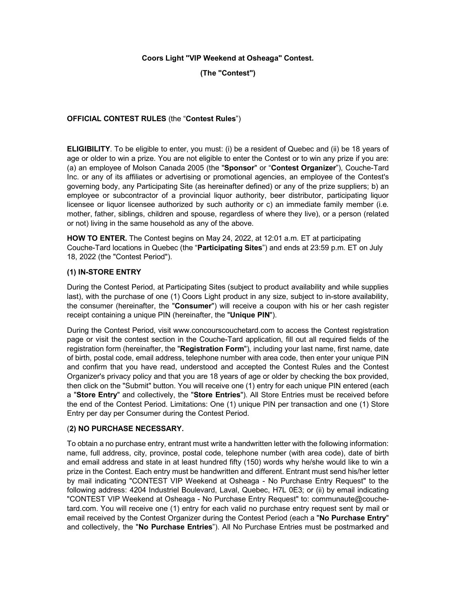## **Coors Light "VIP Weekend at Osheaga" Contest.**

**(The "Contest")**

## **OFFICIAL CONTEST RULES** (the "**Contest Rules**")

**ELIGIBILITY**. To be eligible to enter, you must: (i) be a resident of Quebec and (ii) be 18 years of age or older to win a prize. You are not eligible to enter the Contest or to win any prize if you are: (a) an employee of Molson Canada 2005 (the "**Sponsor**" or "**Contest Organizer**"), Couche-Tard Inc. or any of its affiliates or advertising or promotional agencies, an employee of the Contest's governing body, any Participating Site (as hereinafter defined) or any of the prize suppliers; b) an employee or subcontractor of a provincial liquor authority, beer distributor, participating liquor licensee or liquor licensee authorized by such authority or c) an immediate family member (i.e. mother, father, siblings, children and spouse, regardless of where they live), or a person (related or not) living in the same household as any of the above.

**HOW TO ENTER.** The Contest begins on May 24, 2022, at 12:01 a.m. ET at participating Couche-Tard locations in Quebec (the "**Participating Sites**") and ends at 23:59 p.m. ET on July 18, 2022 (the "Contest Period").

## **(1) IN-STORE ENTRY**

During the Contest Period, at Participating Sites (subject to product availability and while supplies last), with the purchase of one (1) Coors Light product in any size, subject to in-store availability, the consumer (hereinafter, the "**Consumer**") will receive a coupon with his or her cash register receipt containing a unique PIN (hereinafter, the "**Unique PIN**").

During the Contest Period, visit www.concourscouchetard.com to access the Contest registration page or visit the contest section in the Couche-Tard application, fill out all required fields of the registration form (hereinafter, the "**Registration Form**"), including your last name, first name, date of birth, postal code, email address, telephone number with area code, then enter your unique PIN and confirm that you have read, understood and accepted the Contest Rules and the Contest Organizer's privacy policy and that you are 18 years of age or older by checking the box provided, then click on the "Submit" button. You will receive one (1) entry for each unique PIN entered (each a "**Store Entry**" and collectively, the "**Store Entries**"). All Store Entries must be received before the end of the Contest Period. Limitations: One (1) unique PIN per transaction and one (1) Store Entry per day per Consumer during the Contest Period.

## (**2) NO PURCHASE NECESSARY.**

To obtain a no purchase entry, entrant must write a handwritten letter with the following information: name, full address, city, province, postal code, telephone number (with area code), date of birth and email address and state in at least hundred fifty (150) words why he/she would like to win a prize in the Contest. Each entry must be handwritten and different. Entrant must send his/her letter by mail indicating "CONTEST VIP Weekend at Osheaga - No Purchase Entry Request" to the following address: 4204 Industriel Boulevard, Laval, Quebec, H7L 0E3; or (ii) by email indicating "CONTEST VIP Weekend at Osheaga - No Purchase Entry Request" to: communaute@couchetard.com. You will receive one (1) entry for each valid no purchase entry request sent by mail or email received by the Contest Organizer during the Contest Period (each a "**No Purchase Entry**" and collectively, the "**No Purchase Entries**"). All No Purchase Entries must be postmarked and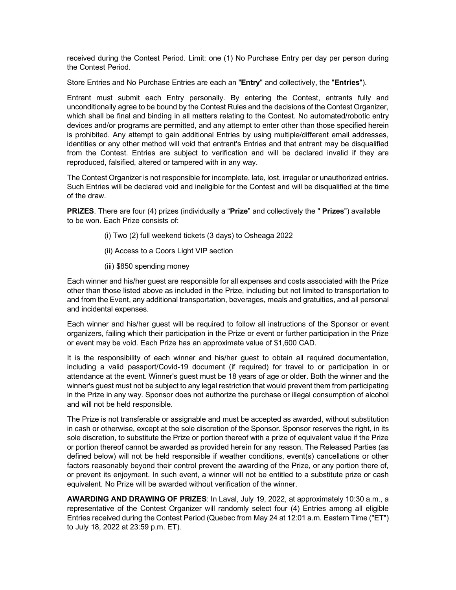received during the Contest Period. Limit: one (1) No Purchase Entry per day per person during the Contest Period.

Store Entries and No Purchase Entries are each an "**Entry**" and collectively, the "**Entries**").

Entrant must submit each Entry personally. By entering the Contest, entrants fully and unconditionally agree to be bound by the Contest Rules and the decisions of the Contest Organizer, which shall be final and binding in all matters relating to the Contest. No automated/robotic entry devices and/or programs are permitted, and any attempt to enter other than those specified herein is prohibited. Any attempt to gain additional Entries by using multiple/different email addresses, identities or any other method will void that entrant's Entries and that entrant may be disqualified from the Contest. Entries are subject to verification and will be declared invalid if they are reproduced, falsified, altered or tampered with in any way.

The Contest Organizer is not responsible for incomplete, late, lost, irregular or unauthorized entries. Such Entries will be declared void and ineligible for the Contest and will be disqualified at the time of the draw.

**PRIZES**. There are four (4) prizes (individually a "**Prize**" and collectively the " **Prizes**") available to be won. Each Prize consists of:

- (i) Two (2) full weekend tickets (3 days) to Osheaga 2022
- (ii) Access to a Coors Light VIP section
- (iii) \$850 spending money

Each winner and his/her guest are responsible for all expenses and costs associated with the Prize other than those listed above as included in the Prize, including but not limited to transportation to and from the Event, any additional transportation, beverages, meals and gratuities, and all personal and incidental expenses.

Each winner and his/her guest will be required to follow all instructions of the Sponsor or event organizers, failing which their participation in the Prize or event or further participation in the Prize or event may be void. Each Prize has an approximate value of \$1,600 CAD.

It is the responsibility of each winner and his/her guest to obtain all required documentation, including a valid passport/Covid-19 document (if required) for travel to or participation in or attendance at the event. Winner's guest must be 18 years of age or older. Both the winner and the winner's guest must not be subject to any legal restriction that would prevent them from participating in the Prize in any way. Sponsor does not authorize the purchase or illegal consumption of alcohol and will not be held responsible.

The Prize is not transferable or assignable and must be accepted as awarded, without substitution in cash or otherwise, except at the sole discretion of the Sponsor. Sponsor reserves the right, in its sole discretion, to substitute the Prize or portion thereof with a prize of equivalent value if the Prize or portion thereof cannot be awarded as provided herein for any reason. The Released Parties (as defined below) will not be held responsible if weather conditions, event(s) cancellations or other factors reasonably beyond their control prevent the awarding of the Prize, or any portion there of, or prevent its enjoyment. In such event, a winner will not be entitled to a substitute prize or cash equivalent. No Prize will be awarded without verification of the winner.

**AWARDING AND DRAWING OF PRIZES**: In Laval, July 19, 2022, at approximately 10:30 a.m., a representative of the Contest Organizer will randomly select four (4) Entries among all eligible Entries received during the Contest Period (Quebec from May 24 at 12:01 a.m. Eastern Time ("ET") to July 18, 2022 at 23:59 p.m. ET).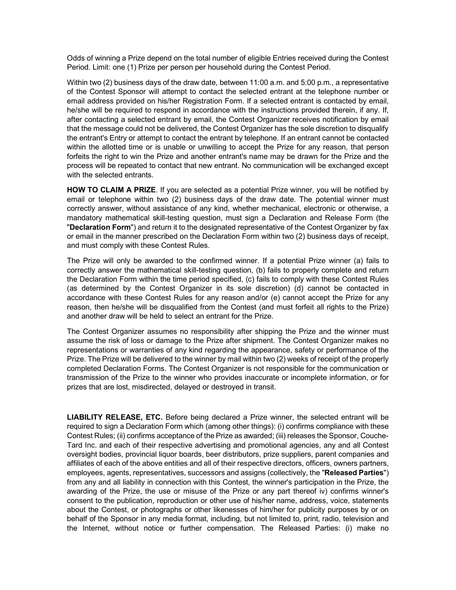Odds of winning a Prize depend on the total number of eligible Entries received during the Contest Period. Limit: one (1) Prize per person per household during the Contest Period.

Within two (2) business days of the draw date, between 11:00 a.m. and 5:00 p.m., a representative of the Contest Sponsor will attempt to contact the selected entrant at the telephone number or email address provided on his/her Registration Form. If a selected entrant is contacted by email, he/she will be required to respond in accordance with the instructions provided therein, if any. If, after contacting a selected entrant by email, the Contest Organizer receives notification by email that the message could not be delivered, the Contest Organizer has the sole discretion to disqualify the entrant's Entry or attempt to contact the entrant by telephone. If an entrant cannot be contacted within the allotted time or is unable or unwilling to accept the Prize for any reason, that person forfeits the right to win the Prize and another entrant's name may be drawn for the Prize and the process will be repeated to contact that new entrant. No communication will be exchanged except with the selected entrants.

**HOW TO CLAIM A PRIZE**. If you are selected as a potential Prize winner, you will be notified by email or telephone within two (2) business days of the draw date. The potential winner must correctly answer, without assistance of any kind, whether mechanical, electronic or otherwise, a mandatory mathematical skill-testing question, must sign a Declaration and Release Form (the "**Declaration Form**") and return it to the designated representative of the Contest Organizer by fax or email in the manner prescribed on the Declaration Form within two (2) business days of receipt, and must comply with these Contest Rules.

The Prize will only be awarded to the confirmed winner. If a potential Prize winner (a) fails to correctly answer the mathematical skill-testing question, (b) fails to properly complete and return the Declaration Form within the time period specified, (c) fails to comply with these Contest Rules (as determined by the Contest Organizer in its sole discretion) (d) cannot be contacted in accordance with these Contest Rules for any reason and/or (e) cannot accept the Prize for any reason, then he/she will be disqualified from the Contest (and must forfeit all rights to the Prize) and another draw will be held to select an entrant for the Prize.

The Contest Organizer assumes no responsibility after shipping the Prize and the winner must assume the risk of loss or damage to the Prize after shipment. The Contest Organizer makes no representations or warranties of any kind regarding the appearance, safety or performance of the Prize. The Prize will be delivered to the winner by mail within two (2) weeks of receipt of the properly completed Declaration Forms. The Contest Organizer is not responsible for the communication or transmission of the Prize to the winner who provides inaccurate or incomplete information, or for prizes that are lost, misdirected, delayed or destroyed in transit.

**LIABILITY RELEASE, ETC.** Before being declared a Prize winner, the selected entrant will be required to sign a Declaration Form which (among other things): (i) confirms compliance with these Contest Rules; (ii) confirms acceptance of the Prize as awarded; (iii) releases the Sponsor, Couche-Tard Inc. and each of their respective advertising and promotional agencies, any and all Contest oversight bodies, provincial liquor boards, beer distributors, prize suppliers, parent companies and affiliates of each of the above entities and all of their respective directors, officers, owners partners, employees, agents, representatives, successors and assigns (collectively, the "**Released Parties**") from any and all liability in connection with this Contest, the winner's participation in the Prize, the awarding of the Prize, the use or misuse of the Prize or any part thereof iv) confirms winner's consent to the publication, reproduction or other use of his/her name, address, voice, statements about the Contest, or photographs or other likenesses of him/her for publicity purposes by or on behalf of the Sponsor in any media format, including, but not limited to, print, radio, television and the Internet, without notice or further compensation. The Released Parties: (i) make no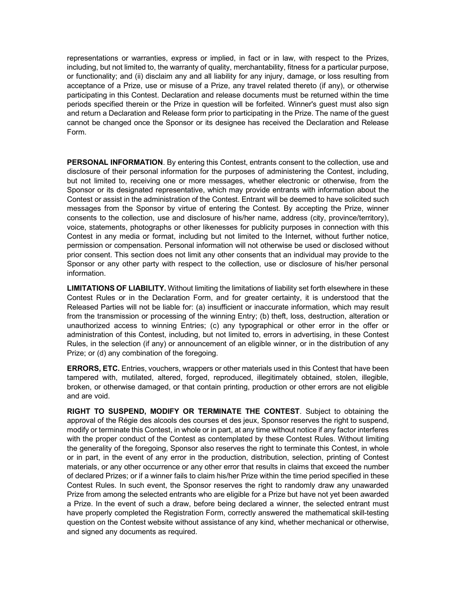representations or warranties, express or implied, in fact or in law, with respect to the Prizes, including, but not limited to, the warranty of quality, merchantability, fitness for a particular purpose, or functionality; and (ii) disclaim any and all liability for any injury, damage, or loss resulting from acceptance of a Prize, use or misuse of a Prize, any travel related thereto (if any), or otherwise participating in this Contest. Declaration and release documents must be returned within the time periods specified therein or the Prize in question will be forfeited. Winner's guest must also sign and return a Declaration and Release form prior to participating in the Prize. The name of the guest cannot be changed once the Sponsor or its designee has received the Declaration and Release Form.

**PERSONAL INFORMATION**. By entering this Contest, entrants consent to the collection, use and disclosure of their personal information for the purposes of administering the Contest, including, but not limited to, receiving one or more messages, whether electronic or otherwise, from the Sponsor or its designated representative, which may provide entrants with information about the Contest or assist in the administration of the Contest. Entrant will be deemed to have solicited such messages from the Sponsor by virtue of entering the Contest. By accepting the Prize, winner consents to the collection, use and disclosure of his/her name, address (city, province/territory), voice, statements, photographs or other likenesses for publicity purposes in connection with this Contest in any media or format, including but not limited to the Internet, without further notice, permission or compensation. Personal information will not otherwise be used or disclosed without prior consent. This section does not limit any other consents that an individual may provide to the Sponsor or any other party with respect to the collection, use or disclosure of his/her personal information.

**LIMITATIONS OF LIABILITY.** Without limiting the limitations of liability set forth elsewhere in these Contest Rules or in the Declaration Form, and for greater certainty, it is understood that the Released Parties will not be liable for: (a) insufficient or inaccurate information, which may result from the transmission or processing of the winning Entry; (b) theft, loss, destruction, alteration or unauthorized access to winning Entries; (c) any typographical or other error in the offer or administration of this Contest, including, but not limited to, errors in advertising, in these Contest Rules, in the selection (if any) or announcement of an eligible winner, or in the distribution of any Prize; or (d) any combination of the foregoing.

**ERRORS, ETC.** Entries, vouchers, wrappers or other materials used in this Contest that have been tampered with, mutilated, altered, forged, reproduced, illegitimately obtained, stolen, illegible, broken, or otherwise damaged, or that contain printing, production or other errors are not eligible and are void.

**RIGHT TO SUSPEND, MODIFY OR TERMINATE THE CONTEST**. Subject to obtaining the approval of the Régie des alcools des courses et des jeux, Sponsor reserves the right to suspend, modify or terminate this Contest, in whole or in part, at any time without notice if any factor interferes with the proper conduct of the Contest as contemplated by these Contest Rules. Without limiting the generality of the foregoing, Sponsor also reserves the right to terminate this Contest, in whole or in part, in the event of any error in the production, distribution, selection, printing of Contest materials, or any other occurrence or any other error that results in claims that exceed the number of declared Prizes; or if a winner fails to claim his/her Prize within the time period specified in these Contest Rules. In such event, the Sponsor reserves the right to randomly draw any unawarded Prize from among the selected entrants who are eligible for a Prize but have not yet been awarded a Prize. In the event of such a draw, before being declared a winner, the selected entrant must have properly completed the Registration Form, correctly answered the mathematical skill-testing question on the Contest website without assistance of any kind, whether mechanical or otherwise, and signed any documents as required.